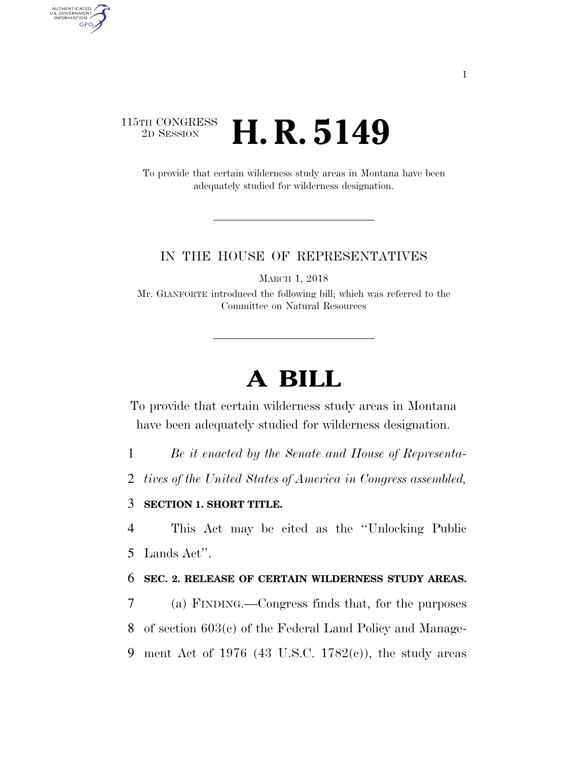# 115TH CONGRESS <sup>2D SESSION</sup> **H. R. 5149**

AUTHENTICATED<br>U.S. GOVERNMENT<br>INFORMATION

**GPO** 

To provide that certain wilderness study areas in Montana have been adequately studied for wilderness designation.

### IN THE HOUSE OF REPRESENTATIVES

MARCH 1, 2018

Mr. GIANFORTE introduced the following bill; which was referred to the Committee on Natural Resources

# **A BILL**

To provide that certain wilderness study areas in Montana have been adequately studied for wilderness designation.

1 *Be it enacted by the Senate and House of Representa-*

2 *tives of the United States of America in Congress assembled,* 

## 3 **SECTION 1. SHORT TITLE.**

4 This Act may be cited as the ''Unlocking Public 5 Lands Act''.

#### 6 **SEC. 2. RELEASE OF CERTAIN WILDERNESS STUDY AREAS.**

7 (a) FINDING.—Congress finds that, for the purposes 8 of section 603(c) of the Federal Land Policy and Manage-9 ment Act of 1976 (43 U.S.C. 1782 $(e)$ ), the study areas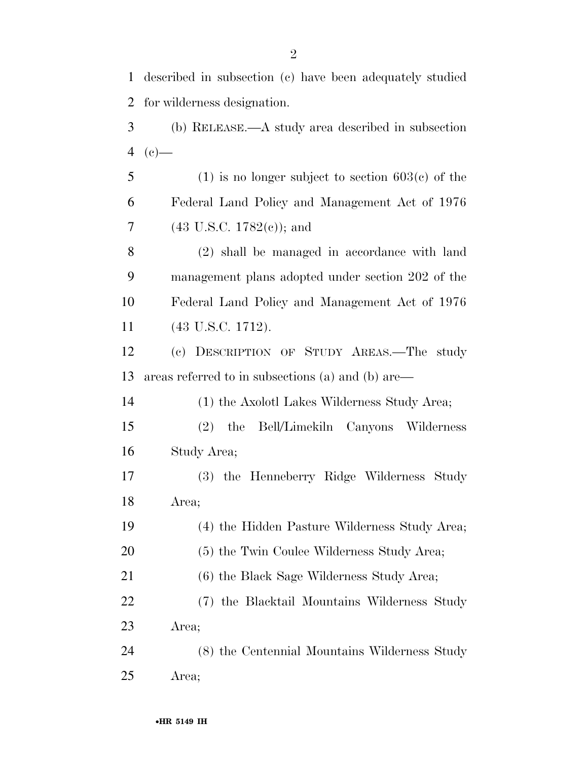| 1              | described in subsection (c) have been adequately studied |
|----------------|----------------------------------------------------------|
| $\overline{2}$ | for wilderness designation.                              |
| 3              | (b) RELEASE.—A study area described in subsection        |
| $\overline{4}$ | $(e)$ —                                                  |
| 5              | $(1)$ is no longer subject to section 603 $(c)$ of the   |
| 6              | Federal Land Policy and Management Act of 1976           |
| $\overline{7}$ | $(43 \text{ U.S.C. } 1782(e))$ ; and                     |
| 8              | (2) shall be managed in accordance with land             |
| 9              | management plans adopted under section 202 of the        |
| 10             | Federal Land Policy and Management Act of 1976           |
| 11             | $(43 \text{ U.S.C. } 1712).$                             |
| 12             | (c) DESCRIPTION OF STUDY AREAS.—The study                |
| 13             | areas referred to in subsections (a) and (b) are—        |
| 14             | (1) the Axolotl Lakes Wilderness Study Area;             |
| 15             | (2) the Bell/Limekiln Canyons Wilderness                 |
| 16             | Study Area;                                              |
| 17             | (3) the Henneberry Ridge Wilderness Study                |
| 18             | Area;                                                    |
| 19             | (4) the Hidden Pasture Wilderness Study Area;            |
| 20             | (5) the Twin Coulee Wilderness Study Area;               |
| 21             | (6) the Black Sage Wilderness Study Area;                |
| 22             | (7) the Blacktail Mountains Wilderness Study             |
| 23             | Area;                                                    |
| 24             | (8) the Centennial Mountains Wilderness Study            |
| 25             | Area;                                                    |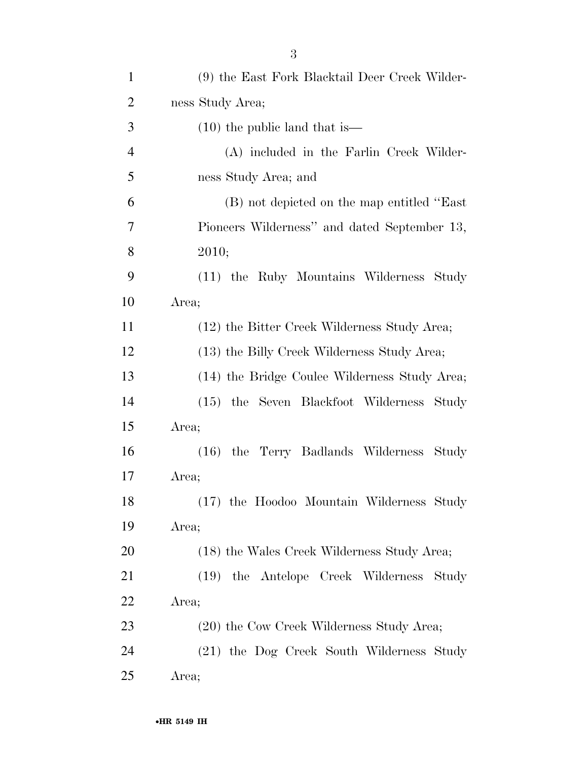| $\mathbf{1}$   | (9) the East Fork Blacktail Deer Creek Wilder- |
|----------------|------------------------------------------------|
| $\overline{2}$ | ness Study Area;                               |
| 3              | $(10)$ the public land that is —               |
| $\overline{4}$ | (A) included in the Farlin Creek Wilder-       |
| 5              | ness Study Area; and                           |
| 6              | (B) not depicted on the map entitled "East"    |
| 7              | Pioneers Wilderness" and dated September 13,   |
| 8              | 2010;                                          |
| 9              | (11) the Ruby Mountains Wilderness Study       |
| 10             | Area;                                          |
| 11             | (12) the Bitter Creek Wilderness Study Area;   |
| 12             | (13) the Billy Creek Wilderness Study Area;    |
| 13             | (14) the Bridge Coulee Wilderness Study Area;  |
| 14             | (15) the Seven Blackfoot Wilderness Study      |
| 15             | Area;                                          |
| 16             | (16) the Terry Badlands Wilderness<br>Study    |
| 17             | Area;                                          |
| 18             | (17) the Hoodoo Mountain Wilderness Study      |
| 19             | Area;                                          |
| 20             | (18) the Wales Creek Wilderness Study Area;    |
| 21             | (19) the Antelope Creek Wilderness<br>Study    |
| 22             | Area;                                          |
| 23             | (20) the Cow Creek Wilderness Study Area;      |
| 24             | (21) the Dog Creek South Wilderness Study      |
| 25             | Area;                                          |